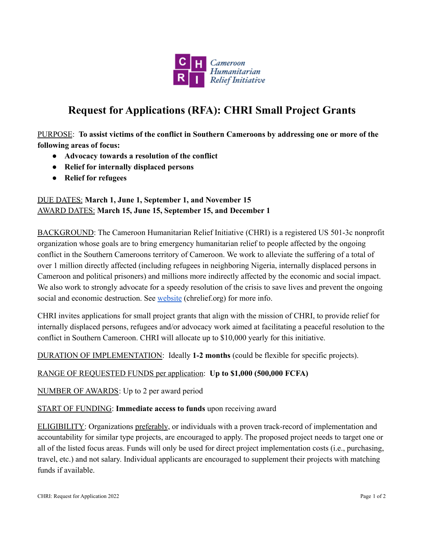

## **Request for Applications (RFA): CHRI Small Project Grants**

PURPOSE: **To assist victims of the conflict in Southern Cameroons by addressing one or more of the following areas of focus:**

- **● Advocacy towards a resolution of the conflict**
- **● Relief for internally displaced persons**
- **● Relief for refugees**

## DUE DATES: **March 1, June 1, September 1, and November 15** AWARD DATES: **March 15, June 15, September 15, and December 1**

BACKGROUND: The Cameroon Humanitarian Relief Initiative (CHRI) is a registered US 501-3c nonprofit organization whose goals are to bring emergency humanitarian relief to people affected by the ongoing conflict in the Southern Cameroons territory of Cameroon. We work to alleviate the suffering of a total of over 1 million directly affected (including refugees in neighboring Nigeria, internally displaced persons in Cameroon and political prisoners) and millions more indirectly affected by the economic and social impact. We also work to strongly advocate for a speedy resolution of the crisis to save lives and prevent the ongoing social and economic destruction. See [website](https://chrelief.org/) (chrelief.org) for more info.

CHRI invites applications for small project grants that align with the mission of CHRI, to provide relief for internally displaced persons, refugees and/or advocacy work aimed at facilitating a peaceful resolution to the conflict in Southern Cameroon. CHRI will allocate up to \$10,000 yearly for this initiative.

DURATION OF IMPLEMENTATION: Ideally **1-2 months** (could be flexible for specific projects).

## RANGE OF REQUESTED FUNDS per application: **Up to \$1,000 (500,000 FCFA)**

NUMBER OF AWARDS: Up to 2 per award period

## START OF FUNDING: **Immediate access to funds** upon receiving award

ELIGIBILITY: Organizations preferably, or individuals with a proven track-record of implementation and accountability for similar type projects, are encouraged to apply. The proposed project needs to target one or all of the listed focus areas. Funds will only be used for direct project implementation costs (i.e., purchasing, travel, etc.) and not salary. Individual applicants are encouraged to supplement their projects with matching funds if available.